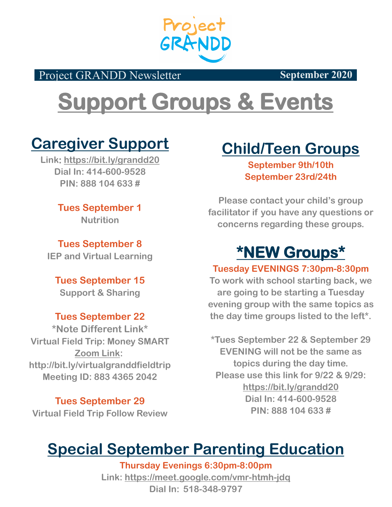

Project GRANDD Newsletter **September 2020** 

# **Support Groups & Events**

### **Caregiver Support**

**Link: https://bit.ly/grandd20 Dial In: 414-600-9528 PIN: 888 104 633 #**

> **Tues September 1 Nutrition**

**Tues September 8 IEP and Virtual Learning**

**Tues September 15 Support & Sharing**

### **Tues September 22**

**\*Note Different Link\* Virtual Field Trip: Money SMART Zoom Link: http://bit.ly/virtualgranddfieldtrip Meeting ID: 883 4365 2042** 

**Tues September 29 Virtual Field Trip Follow Review**

## **Child/Teen Groups**

**September 9th/10th September 23rd/24th**

**Please contact your child's group facilitator if you have any questions or concerns regarding these groups.**

## **\*NEW Groups\***

**Tuesday EVENINGS 7:30pm-8:30pm**

**To work with school starting back, we are going to be starting a Tuesday evening group with the same topics as the day time groups listed to the left\*.**

**\*Tues September 22 & September 29 EVENING will not be the same as topics during the day time. Please use this link for 9/22 & 9/29: https://bit.ly/grandd20 Dial In: 414-600-9528 PIN: 888 104 633 #**

## **Special September Parenting Education**

**Thursday Evenings 6:30pm-8:00pm Link: <https://meet.google.com/vmr-htmh-jdq> Dial In: 518-348-9797**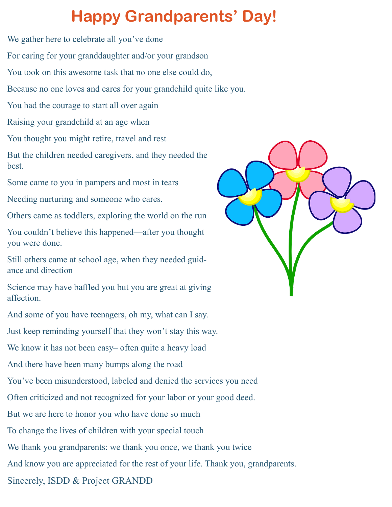## **Happy Grandparents' Day!**

We gather here to celebrate all you've done

For caring for your granddaughter and/or your grandson

You took on this awesome task that no one else could do,

Because no one loves and cares for your grandchild quite like you.

You had the courage to start all over again

Raising your grandchild at an age when

You thought you might retire, travel and rest

But the children needed caregivers, and they needed the best.

Some came to you in pampers and most in tears

Needing nurturing and someone who cares.

Others came as toddlers, exploring the world on the run

You couldn't believe this happened—after you thought you were done.

Still others came at school age, when they needed guidance and direction

Science may have baffled you but you are great at giving affection.

And some of you have teenagers, oh my, what can I say.

Just keep reminding yourself that they won't stay this way.

We know it has not been easy– often quite a heavy load

And there have been many bumps along the road

You've been misunderstood, labeled and denied the services you need

Often criticized and not recognized for your labor or your good deed.

But we are here to honor you who have done so much

To change the lives of children with your special touch

We thank you grandparents: we thank you once, we thank you twice

And know you are appreciated for the rest of your life. Thank you, grandparents.

Sincerely, ISDD & Project GRANDD

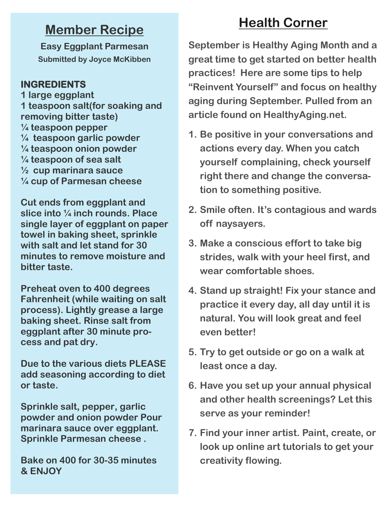### **Member Recipe**

**Easy Eggplant Parmesan Submitted by Joyce McKibben**

#### **INGREDIENTS**

**1 large eggplant 1 teaspoon salt(for soaking and removing bitter taste) ¼ teaspoon pepper ¼ teaspoon garlic powder ¼ teaspoon onion powder ¼ teaspoon of sea salt ½ cup marinara sauce ¼ cup of Parmesan cheese**

**Cut ends from eggplant and slice into ¼ inch rounds. Place single layer of eggplant on paper towel in baking sheet, sprinkle with salt and let stand for 30 minutes to remove moisture and bitter taste.**

**Preheat oven to 400 degrees Fahrenheit (while waiting on salt process). Lightly grease a large baking sheet. Rinse salt from eggplant after 30 minute process and pat dry.**

**Due to the various diets PLEASE add seasoning according to diet or taste.**

**Sprinkle salt, pepper, garlic powder and onion powder Pour marinara sauce over eggplant. Sprinkle Parmesan cheese .**

**Bake on 400 for 30-35 minutes & ENJOY**

### **Health Corner**

**September is Healthy Aging Month and a great time to get started on better health practices! Here are some tips to help "Reinvent Yourself" and focus on healthy aging during September. Pulled from an article found on HealthyAging.net.**

- **1. Be positive in your conversations and actions every day. When you catch yourself complaining, check yourself right there and change the conversation to something positive.**
- **2. Smile often. It's contagious and wards off naysayers.**
- **3. Make a conscious effort to take big strides, walk with your heel first, and wear comfortable shoes.**
- **4. Stand up straight! Fix your stance and practice it every day, all day until it is natural. You will look great and feel even better!**
- **5. Try to get outside or go on a walk at least once a day.**
- **6. Have you set up your annual physical and other health screenings? Let this serve as your reminder!**
- **7. Find your inner artist. Paint, create, or look up online art tutorials to get your creativity flowing.**